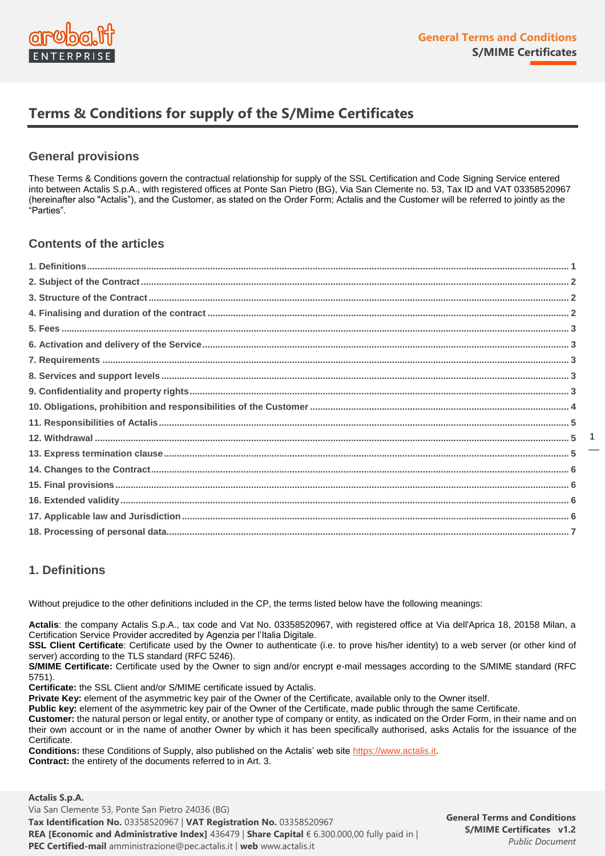

# **Terms & Conditions for supply of the S/Mime Certificates**

#### **General provisions**

These Terms & Conditions govern the contractual relationship for supply of the SSL Certification and Code Signing Service entered into between Actalis S.p.A., with registered offices at Ponte San Pietro (BG), Via San Clemente no. 53, Tax ID and VAT 03358520967 (hereinafter also "Actalis"), and the Customer, as stated on the Order Form; Actalis and the Customer will be referred to jointly as the "Parties".

# **Contents of the articles**

# **1. Definitions**

Without prejudice to the other definitions included in the CP, the terms listed below have the following meanings:

**Actalis**: the company Actalis S.p.A., tax code and Vat No. 03358520967, with registered office at Via dell'Aprica 18, 20158 Milan, a Certification Service Provider accredited by Agenzia per l'Italia Digitale.

**SSL Client Certificate**: Certificate used by the Owner to authenticate (i.e. to prove his/her identity) to a web server (or other kind of server) according to the TLS standard (RFC 5246).

**S/MIME Certificate:** Certificate used by the Owner to sign and/or encrypt e-mail messages according to the S/MIME standard (RFC 5751).

**Certificate:** the SSL Client and/or S/MIME certificate issued by Actalis.

**Private Key:** element of the asymmetric key pair of the Owner of the Certificate, available only to the Owner itself.

**Public key:** element of the asymmetric key pair of the Owner of the Certificate, made public through the same Certificate.

**Customer:** the natural person or legal entity, or another type of company or entity, as indicated on the Order Form, in their name and on their own account or in the name of another Owner by which it has been specifically authorised, asks Actalis for the issuance of the Certificate.

**Conditions:** these Conditions of Supply, also published on the Actalis' web site [https://www.actalis.it.](https://www.actalis.it/) **Contract:** the entirety of the documents referred to in Art. 3.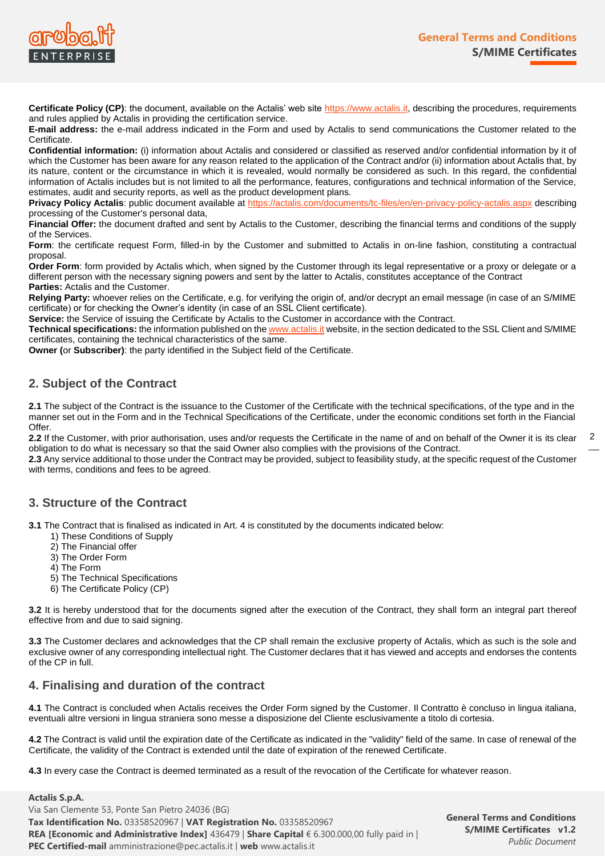

**Certificate Policy (CP)**: the document, available on the Actalis' web site [https://www.actalis.it,](https://www.actalis.it/) describing the procedures, requirements and rules applied by Actalis in providing the certification service.

**E-mail address:** the e-mail address indicated in the Form and used by Actalis to send communications the Customer related to the Certificate.

**Confidential information:** (i) information about Actalis and considered or classified as reserved and/or confidential information by it of which the Customer has been aware for any reason related to the application of the Contract and/or (ii) information about Actalis that, by its nature, content or the circumstance in which it is revealed, would normally be considered as such. In this regard, the confidential information of Actalis includes but is not limited to all the performance, features, configurations and technical information of the Service, estimates, audit and security reports, as well as the product development plans.

**Privacy Policy Actalis**: public document available at <https://actalis.com/documents/tc-files/en/en-privacy-policy-actalis.aspx> describing processing of the Customer's personal data,

**Financial Offer:** the document drafted and sent by Actalis to the Customer, describing the financial terms and conditions of the supply of the Services.

**Form**: the certificate request Form, filled-in by the Customer and submitted to Actalis in on-line fashion, constituting a contractual proposal.

**Order Form**: form provided by Actalis which, when signed by the Customer through its legal representative or a proxy or delegate or a different person with the necessary signing powers and sent by the latter to Actalis, constitutes acceptance of the Contract **Parties:** Actalis and the Customer.

**Relying Party:** whoever relies on the Certificate, e.g. for verifying the origin of, and/or decrypt an email message (in case of an S/MIME certificate) or for checking the Owner's identity (in case of an SSL Client certificate).

**Service:** the Service of issuing the Certificate by Actalis to the Customer in accordance with the Contract.

**Technical specifications:** the information published on th[e www.actalis.it](http://www.actalis.it/) website, in the section dedicated to the SSL Client and S/MIME certificates, containing the technical characteristics of the same.

**Owner (**or **Subscriber)**: the party identified in the Subject field of the Certificate.

# **2. Subject of the Contract**

**2.1** The subject of the Contract is the issuance to the Customer of the Certificate with the technical specifications, of the type and in the manner set out in the Form and in the Technical Specifications of the Certificate, under the economic conditions set forth in the Fiancial Offer.

**2.2** If the Customer, with prior authorisation, uses and/or requests the Certificate in the name of and on behalf of the Owner it is its clear obligation to do what is necessary so that the said Owner also complies with the provisions of the Contract.

**2.3** Any service additional to those under the Contract may be provided, subject to feasibility study, at the specific request of the Customer with terms, conditions and fees to be agreed.

#### **3. Structure of the Contract**

**3.1** The Contract that is finalised as indicated in Art. 4 is constituted by the documents indicated below:

- 1) These Conditions of Supply
- 2) The Financial offer
- 3) The Order Form
- 4) The Form
- 5) The Technical Specifications
- 6) The Certificate Policy (CP)

**3.2** It is hereby understood that for the documents signed after the execution of the Contract, they shall form an integral part thereof effective from and due to said signing.

**3.3** The Customer declares and acknowledges that the CP shall remain the exclusive property of Actalis, which as such is the sole and exclusive owner of any corresponding intellectual right. The Customer declares that it has viewed and accepts and endorses the contents of the CP in full.

#### **4. Finalising and duration of the contract**

**4.1** The Contract is concluded when Actalis receives the Order Form signed by the Customer. Il Contratto è concluso in lingua italiana, eventuali altre versioni in lingua straniera sono messe a disposizione del Cliente esclusivamente a titolo di cortesia.

**4.2** The Contract is valid until the expiration date of the Certificate as indicated in the "validity" field of the same. In case of renewal of the Certificate, the validity of the Contract is extended until the date of expiration of the renewed Certificate.

**4.3** In every case the Contract is deemed terminated as a result of the revocation of the Certificate for whatever reason.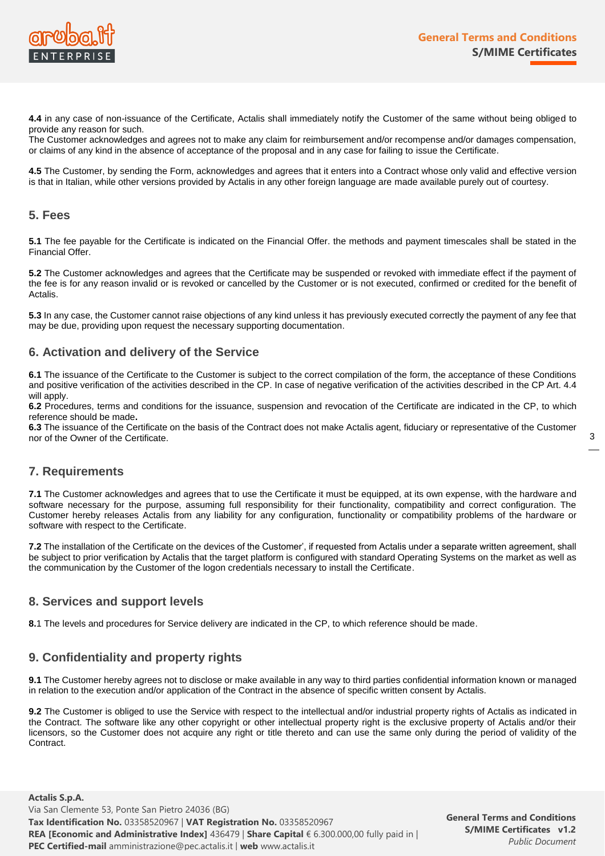

**4.4** in any case of non-issuance of the Certificate, Actalis shall immediately notify the Customer of the same without being obliged to provide any reason for such.

The Customer acknowledges and agrees not to make any claim for reimbursement and/or recompense and/or damages compensation, or claims of any kind in the absence of acceptance of the proposal and in any case for failing to issue the Certificate.

**4.5** The Customer, by sending the Form, acknowledges and agrees that it enters into a Contract whose only valid and effective version is that in Italian, while other versions provided by Actalis in any other foreign language are made available purely out of courtesy.

#### **5. Fees**

**5.1** The fee payable for the Certificate is indicated on the Financial Offer. the methods and payment timescales shall be stated in the Financial Offer.

**5.2** The Customer acknowledges and agrees that the Certificate may be suspended or revoked with immediate effect if the payment of the fee is for any reason invalid or is revoked or cancelled by the Customer or is not executed, confirmed or credited for the benefit of Actalis.

**5.3** In any case, the Customer cannot raise objections of any kind unless it has previously executed correctly the payment of any fee that may be due, providing upon request the necessary supporting documentation.

#### **6. Activation and delivery of the Service**

**6.1** The issuance of the Certificate to the Customer is subject to the correct compilation of the form, the acceptance of these Conditions and positive verification of the activities described in the CP. In case of negative verification of the activities described in the CP Art. 4.4 will apply.

**6.2** Procedures, terms and conditions for the issuance, suspension and revocation of the Certificate are indicated in the CP, to which reference should be made**.**

**6.3** The issuance of the Certificate on the basis of the Contract does not make Actalis agent, fiduciary or representative of the Customer nor of the Owner of the Certificate.

#### **7. Requirements**

**7.1** The Customer acknowledges and agrees that to use the Certificate it must be equipped, at its own expense, with the hardware and software necessary for the purpose, assuming full responsibility for their functionality, compatibility and correct configuration. The Customer hereby releases Actalis from any liability for any configuration, functionality or compatibility problems of the hardware or software with respect to the Certificate.

**7.2** The installation of the Certificate on the devices of the Customer', if requested from Actalis under a separate written agreement, shall be subject to prior verification by Actalis that the target platform is configured with standard Operating Systems on the market as well as the communication by the Customer of the logon credentials necessary to install the Certificate.

#### **8. Services and support levels**

**8.**1 The levels and procedures for Service delivery are indicated in the CP, to which reference should be made.

#### **9. Confidentiality and property rights**

**9.1** The Customer hereby agrees not to disclose or make available in any way to third parties confidential information known or managed in relation to the execution and/or application of the Contract in the absence of specific written consent by Actalis.

**9.2** The Customer is obliged to use the Service with respect to the intellectual and/or industrial property rights of Actalis as indicated in the Contract. The software like any other copyright or other intellectual property right is the exclusive property of Actalis and/or their licensors, so the Customer does not acquire any right or title thereto and can use the same only during the period of validity of the Contract.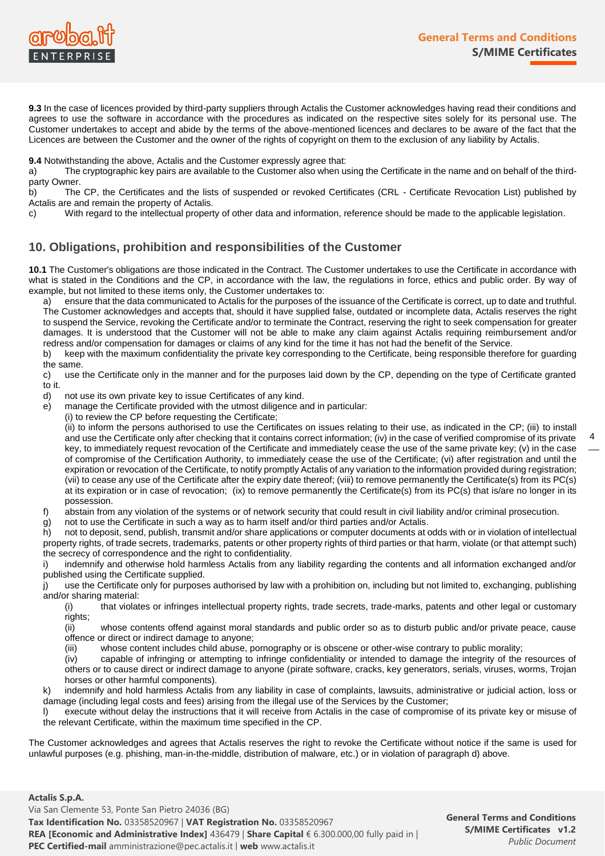

**9.3** In the case of licences provided by third-party suppliers through Actalis the Customer acknowledges having read their conditions and agrees to use the software in accordance with the procedures as indicated on the respective sites solely for its personal use. The Customer undertakes to accept and abide by the terms of the above-mentioned licences and declares to be aware of the fact that the Licences are between the Customer and the owner of the rights of copyright on them to the exclusion of any liability by Actalis.

**9.4** Notwithstanding the above, Actalis and the Customer expressly agree that:

a) The cryptographic key pairs are available to the Customer also when using the Certificate in the name and on behalf of the thirdparty Owner.

b) The CP, the Certificates and the lists of suspended or revoked Certificates (CRL - Certificate Revocation List) published by Actalis are and remain the property of Actalis.

c) With regard to the intellectual property of other data and information, reference should be made to the applicable legislation.

# **10. Obligations, prohibition and responsibilities of the Customer**

**10.1** The Customer's obligations are those indicated in the Contract. The Customer undertakes to use the Certificate in accordance with what is stated in the Conditions and the CP, in accordance with the law, the regulations in force, ethics and public order. By way of example, but not limited to these items only, the Customer undertakes to:

a) ensure that the data communicated to Actalis for the purposes of the issuance of the Certificate is correct, up to date and truthful. The Customer acknowledges and accepts that, should it have supplied false, outdated or incomplete data, Actalis reserves the right to suspend the Service, revoking the Certificate and/or to terminate the Contract, reserving the right to seek compensation for greater damages. It is understood that the Customer will not be able to make any claim against Actalis requiring reimbursement and/or redress and/or compensation for damages or claims of any kind for the time it has not had the benefit of the Service.

b) keep with the maximum confidentiality the private key corresponding to the Certificate, being responsible therefore for guarding the same.

c) use the Certificate only in the manner and for the purposes laid down by the CP, depending on the type of Certificate granted to it.

d) not use its own private key to issue Certificates of any kind.

e) manage the Certificate provided with the utmost diligence and in particular:

(i) to review the CP before requesting the Certificate;

(ii) to inform the persons authorised to use the Certificates on issues relating to their use, as indicated in the CP; (iii) to install and use the Certificate only after checking that it contains correct information; (iv) in the case of verified compromise of its private key, to immediately request revocation of the Certificate and immediately cease the use of the same private key; (v) in the case of compromise of the Certification Authority, to immediately cease the use of the Certificate; (vi) after registration and until the expiration or revocation of the Certificate, to notify promptly Actalis of any variation to the information provided during registration; (vii) to cease any use of the Certificate after the expiry date thereof; (viii) to remove permanently the Certificate(s) from its PC(s) at its expiration or in case of revocation; (ix) to remove permanently the Certificate(s) from its PC(s) that is/are no longer in its possession.

- f) abstain from any violation of the systems or of network security that could result in civil liability and/or criminal prosecution.
- g) not to use the Certificate in such a way as to harm itself and/or third parties and/or Actalis.

h) not to deposit, send, publish, transmit and/or share applications or computer documents at odds with or in violation of intellectual property rights, of trade secrets, trademarks, patents or other property rights of third parties or that harm, violate (or that attempt such) the secrecy of correspondence and the right to confidentiality.

i) indemnify and otherwise hold harmless Actalis from any liability regarding the contents and all information exchanged and/or published using the Certificate supplied.

j) use the Certificate only for purposes authorised by law with a prohibition on, including but not limited to, exchanging, publishing and/or sharing material:

(i) that violates or infringes intellectual property rights, trade secrets, trade-marks, patents and other legal or customary rights;

(ii) whose contents offend against moral standards and public order so as to disturb public and/or private peace, cause offence or direct or indirect damage to anyone;

(iii) whose content includes child abuse, pornography or is obscene or other-wise contrary to public morality;

(iv) capable of infringing or attempting to infringe confidentiality or intended to damage the integrity of the resources of others or to cause direct or indirect damage to anyone (pirate software, cracks, key generators, serials, viruses, worms, Trojan horses or other harmful components).

k) indemnify and hold harmless Actalis from any liability in case of complaints, lawsuits, administrative or judicial action, loss or damage (including legal costs and fees) arising from the illegal use of the Services by the Customer;

l) execute without delay the instructions that it will receive from Actalis in the case of compromise of its private key or misuse of the relevant Certificate, within the maximum time specified in the CP.

The Customer acknowledges and agrees that Actalis reserves the right to revoke the Certificate without notice if the same is used for unlawful purposes (e.g. phishing, man-in-the-middle, distribution of malware, etc.) or in violation of paragraph d) above.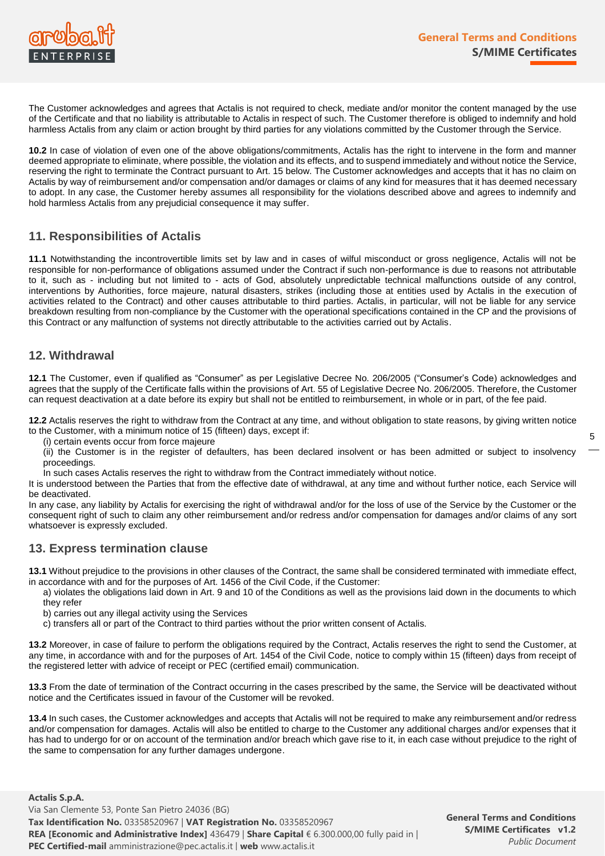

The Customer acknowledges and agrees that Actalis is not required to check, mediate and/or monitor the content managed by the use of the Certificate and that no liability is attributable to Actalis in respect of such. The Customer therefore is obliged to indemnify and hold harmless Actalis from any claim or action brought by third parties for any violations committed by the Customer through the Service.

**10.2** In case of violation of even one of the above obligations/commitments, Actalis has the right to intervene in the form and manner deemed appropriate to eliminate, where possible, the violation and its effects, and to suspend immediately and without notice the Service, reserving the right to terminate the Contract pursuant to Art. 15 below. The Customer acknowledges and accepts that it has no claim on Actalis by way of reimbursement and/or compensation and/or damages or claims of any kind for measures that it has deemed necessary to adopt. In any case, the Customer hereby assumes all responsibility for the violations described above and agrees to indemnify and hold harmless Actalis from any prejudicial consequence it may suffer.

# **11. Responsibilities of Actalis**

**11.1** Notwithstanding the incontrovertible limits set by law and in cases of wilful misconduct or gross negligence, Actalis will not be responsible for non-performance of obligations assumed under the Contract if such non-performance is due to reasons not attributable to it, such as - including but not limited to - acts of God, absolutely unpredictable technical malfunctions outside of any control, interventions by Authorities, force majeure, natural disasters, strikes (including those at entities used by Actalis in the execution of activities related to the Contract) and other causes attributable to third parties. Actalis, in particular, will not be liable for any service breakdown resulting from non-compliance by the Customer with the operational specifications contained in the CP and the provisions of this Contract or any malfunction of systems not directly attributable to the activities carried out by Actalis.

# **12. Withdrawal**

**12.1** The Customer, even if qualified as "Consumer" as per Legislative Decree No. 206/2005 ("Consumer's Code) acknowledges and agrees that the supply of the Certificate falls within the provisions of Art. 55 of Legislative Decree No. 206/2005. Therefore, the Customer can request deactivation at a date before its expiry but shall not be entitled to reimbursement, in whole or in part, of the fee paid.

**12.2** Actalis reserves the right to withdraw from the Contract at any time, and without obligation to state reasons, by giving written notice to the Customer, with a minimum notice of 15 (fifteen) days, except if:

(i) certain events occur from force majeure

(ii) the Customer is in the register of defaulters, has been declared insolvent or has been admitted or subject to insolvency proceedings.

In such cases Actalis reserves the right to withdraw from the Contract immediately without notice.

It is understood between the Parties that from the effective date of withdrawal, at any time and without further notice, each Service will be deactivated.

In any case, any liability by Actalis for exercising the right of withdrawal and/or for the loss of use of the Service by the Customer or the consequent right of such to claim any other reimbursement and/or redress and/or compensation for damages and/or claims of any sort whatsoever is expressly excluded.

#### **13. Express termination clause**

**13.1** Without prejudice to the provisions in other clauses of the Contract, the same shall be considered terminated with immediate effect, in accordance with and for the purposes of Art. 1456 of the Civil Code, if the Customer:

- a) violates the obligations laid down in Art. 9 and 10 of the Conditions as well as the provisions laid down in the documents to which they refer
- b) carries out any illegal activity using the Services
- c) transfers all or part of the Contract to third parties without the prior written consent of Actalis.

**13.2** Moreover, in case of failure to perform the obligations required by the Contract, Actalis reserves the right to send the Customer, at any time, in accordance with and for the purposes of Art. 1454 of the Civil Code, notice to comply within 15 (fifteen) days from receipt of the registered letter with advice of receipt or PEC (certified email) communication.

**13.3** From the date of termination of the Contract occurring in the cases prescribed by the same, the Service will be deactivated without notice and the Certificates issued in favour of the Customer will be revoked.

**13.4** In such cases, the Customer acknowledges and accepts that Actalis will not be required to make any reimbursement and/or redress and/or compensation for damages. Actalis will also be entitled to charge to the Customer any additional charges and/or expenses that it has had to undergo for or on account of the termination and/or breach which gave rise to it, in each case without prejudice to the right of the same to compensation for any further damages undergone.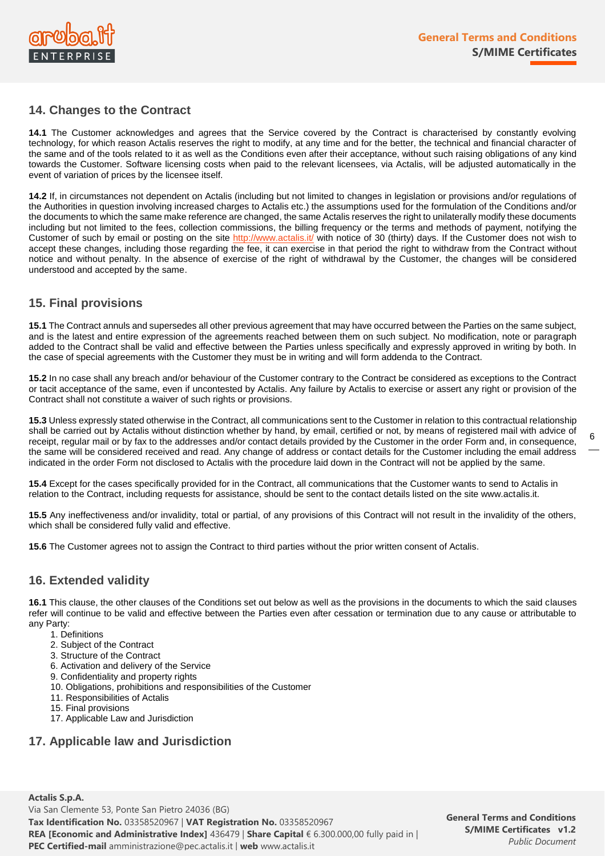

# **14. Changes to the Contract**

**14.1** The Customer acknowledges and agrees that the Service covered by the Contract is characterised by constantly evolving technology, for which reason Actalis reserves the right to modify, at any time and for the better, the technical and financial character of the same and of the tools related to it as well as the Conditions even after their acceptance, without such raising obligations of any kind towards the Customer. Software licensing costs when paid to the relevant licensees, via Actalis, will be adjusted automatically in the event of variation of prices by the licensee itself.

**14.2** If, in circumstances not dependent on Actalis (including but not limited to changes in legislation or provisions and/or regulations of the Authorities in question involving increased charges to Actalis etc.) the assumptions used for the formulation of the Conditions and/or the documents to which the same make reference are changed, the same Actalis reserves the right to unilaterally modify these documents including but not limited to the fees, collection commissions, the billing frequency or the terms and methods of payment, notifying the Customer of such by email or posting on the site<http://www.actalis.it/> with notice of 30 (thirty) days. If the Customer does not wish to accept these changes, including those regarding the fee, it can exercise in that period the right to withdraw from the Contract without notice and without penalty. In the absence of exercise of the right of withdrawal by the Customer, the changes will be considered understood and accepted by the same.

# **15. Final provisions**

**15.1** The Contract annuls and supersedes all other previous agreement that may have occurred between the Parties on the same subject, and is the latest and entire expression of the agreements reached between them on such subject. No modification, note or paragraph added to the Contract shall be valid and effective between the Parties unless specifically and expressly approved in writing by both. In the case of special agreements with the Customer they must be in writing and will form addenda to the Contract.

**15.2** In no case shall any breach and/or behaviour of the Customer contrary to the Contract be considered as exceptions to the Contract or tacit acceptance of the same, even if uncontested by Actalis. Any failure by Actalis to exercise or assert any right or provision of the Contract shall not constitute a waiver of such rights or provisions.

**15.3** Unless expressly stated otherwise in the Contract, all communications sent to the Customer in relation to this contractual relationship shall be carried out by Actalis without distinction whether by hand, by email, certified or not, by means of registered mail with advice of receipt, regular mail or by fax to the addresses and/or contact details provided by the Customer in the order Form and, in consequence, the same will be considered received and read. Any change of address or contact details for the Customer including the email address indicated in the order Form not disclosed to Actalis with the procedure laid down in the Contract will not be applied by the same.

**15.4** Except for the cases specifically provided for in the Contract, all communications that the Customer wants to send to Actalis in relation to the Contract, including requests for assistance, should be sent to the contact details listed on the site www.actalis.it.

**15.5** Any ineffectiveness and/or invalidity, total or partial, of any provisions of this Contract will not result in the invalidity of the others, which shall be considered fully valid and effective.

**15.6** The Customer agrees not to assign the Contract to third parties without the prior written consent of Actalis.

#### **16. Extended validity**

**16.1** This clause, the other clauses of the Conditions set out below as well as the provisions in the documents to which the said clauses refer will continue to be valid and effective between the Parties even after cessation or termination due to any cause or attributable to any Party:

- 1. Definitions
- 2. Subject of the Contract
- 3. Structure of the Contract
- 6. Activation and delivery of the Service
- 9. Confidentiality and property rights
- 10. Obligations, prohibitions and responsibilities of the Customer
- 11. Responsibilities of Actalis
- 15. Final provisions
- 17. Applicable Law and Jurisdiction

# **17. Applicable law and Jurisdiction**

**General Terms and Conditions S/MIME Certificates v1.2** *Public Document*